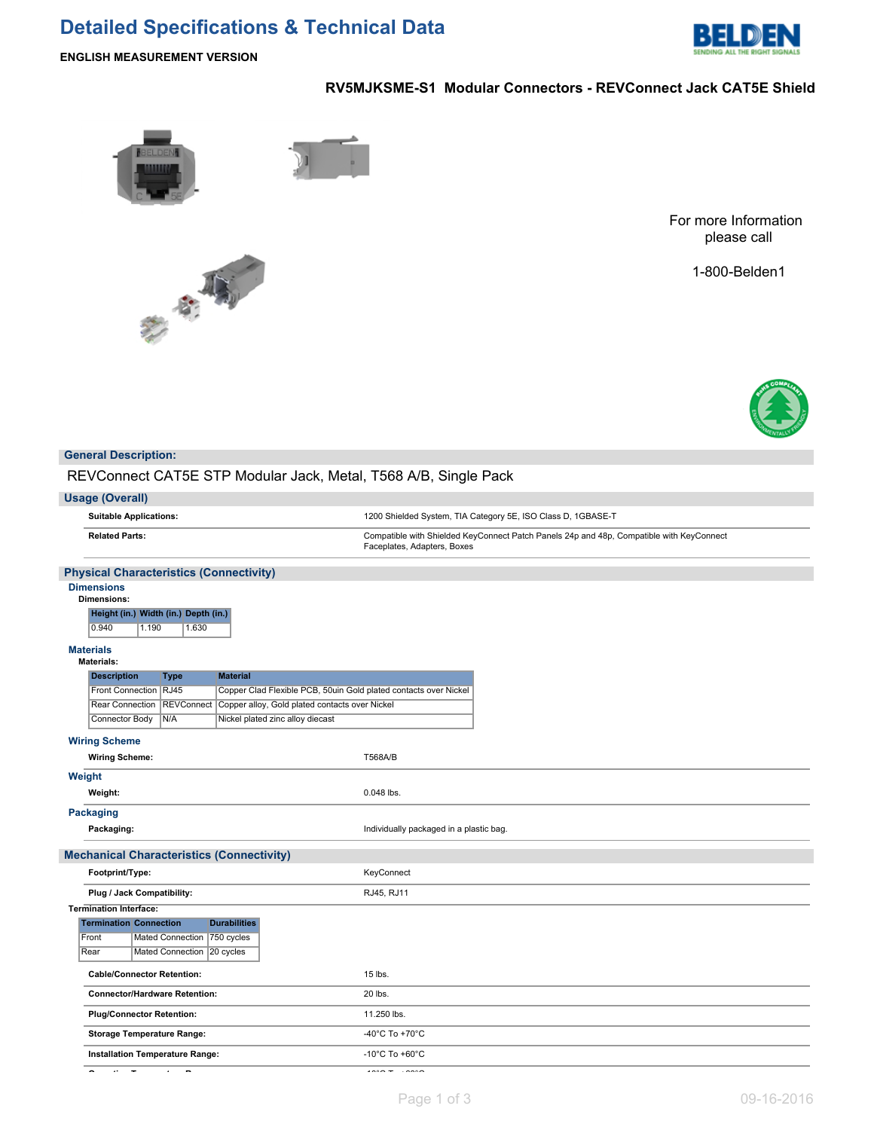# **Detailed Specifications & Technical Data**



**ENGLISH MEASUREMENT VERSION**

# **RV5MJKSME-S1 Modular Connectors - REVConnect Jack CAT5E Shield**



老老师

For more Information please call

1-800-Belden1



#### **General Description:**

REVConnect CAT5E STP Modular Jack, Metal, T568 A/B, Single Pack

| <b>Usage (Overall)</b> |  |  |
|------------------------|--|--|
|------------------------|--|--|

**Suitable Applications:** 1200 Shielded System, TIA Category 5E, ISO Class D, 1GBASE-T **Related Parts:** Compatible with Shielded KeyConnect Patch Panels 24p and 48p, Compatible with KeyConnect Faceplates, Adapters, Boxes

#### **Physical Characteristics (Connectivity)**

#### **Dimensions Dimensions**

| іенычів.                             |       |       |  |  |
|--------------------------------------|-------|-------|--|--|
| Height (in.) Width (in.) Depth (in.) |       |       |  |  |
| 0.940                                | 1.190 | 1.630 |  |  |

## **Materials**

| <b>Materials</b><br><b>Materials:</b>            |                              |                                                                  |                                         |
|--------------------------------------------------|------------------------------|------------------------------------------------------------------|-----------------------------------------|
| <b>Description</b>                               | <b>Type</b>                  | <b>Material</b>                                                  |                                         |
| Front Connection RJ45                            |                              | Copper Clad Flexible PCB, 50uin Gold plated contacts over Nickel |                                         |
| Rear Connection                                  |                              | REVConnect Copper alloy, Gold plated contacts over Nickel        |                                         |
| Connector Body                                   | N/A                          | Nickel plated zinc alloy diecast                                 |                                         |
| <b>Wiring Scheme</b>                             |                              |                                                                  |                                         |
| <b>Wiring Scheme:</b>                            |                              |                                                                  | <b>T568A/B</b>                          |
| Weight                                           |                              |                                                                  |                                         |
| Weight:                                          |                              |                                                                  | 0.048 lbs.                              |
| Packaging                                        |                              |                                                                  |                                         |
| Packaging:                                       |                              |                                                                  | Individually packaged in a plastic bag. |
| <b>Mechanical Characteristics (Connectivity)</b> |                              |                                                                  |                                         |
|                                                  |                              |                                                                  |                                         |
| Footprint/Type:                                  |                              |                                                                  | KeyConnect                              |
| Plug / Jack Compatibility:                       |                              |                                                                  | RJ45, RJ11                              |
| <b>Termination Interface:</b>                    |                              |                                                                  |                                         |
| <b>Termination Connection</b>                    |                              | <b>Durabilities</b>                                              |                                         |
| Front                                            | Mated Connection 750 cycles  |                                                                  |                                         |
| Rear                                             | Mated Connection   20 cycles |                                                                  |                                         |
| <b>Cable/Connector Retention:</b>                |                              |                                                                  | 15 lbs.                                 |
| <b>Connector/Hardware Retention:</b>             |                              |                                                                  | 20 lbs.                                 |
| <b>Plug/Connector Retention:</b>                 |                              |                                                                  | 11.250 lbs.                             |
| <b>Storage Temperature Range:</b>                |                              |                                                                  | -40°C To +70°C                          |
| <b>Installation Temperature Range:</b>           |                              |                                                                  | -10 $^{\circ}$ C To +60 $^{\circ}$ C    |

**Operating Temperature Range:** -10°C To +60°C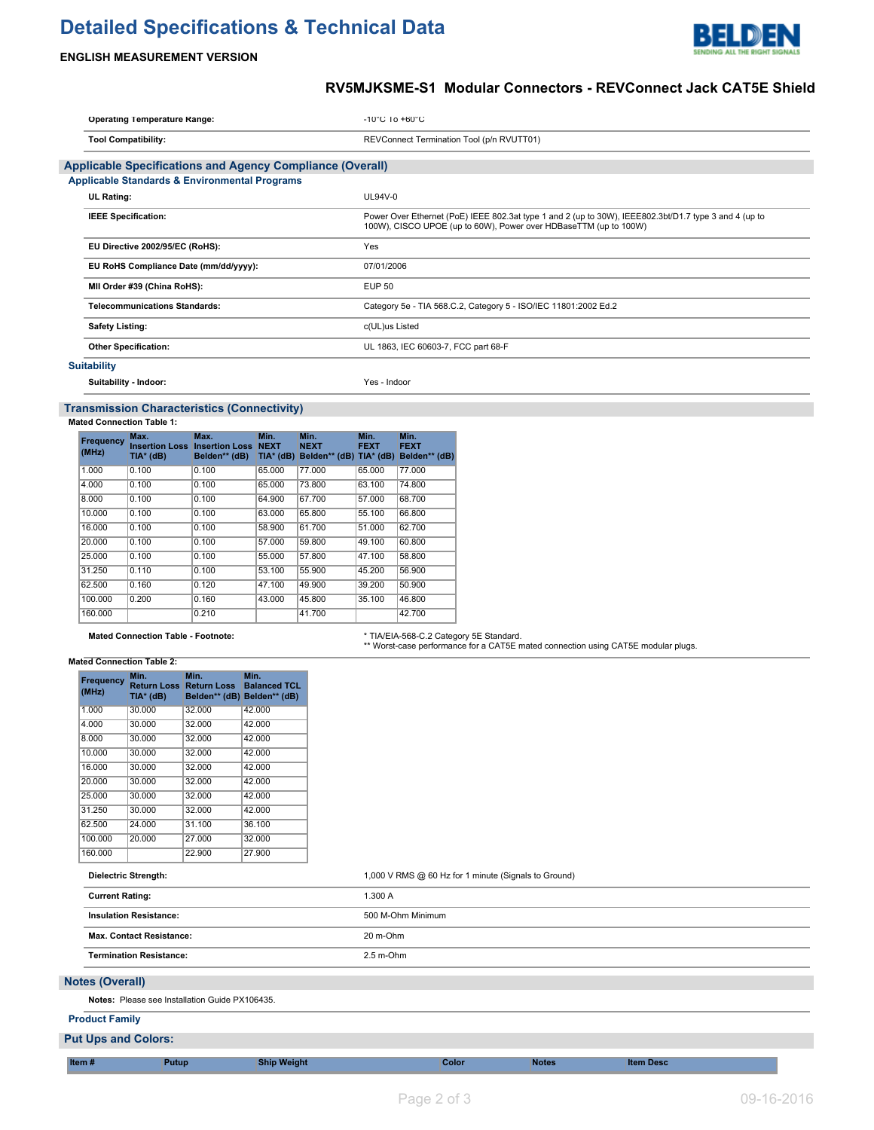# **Detailed Specifications & Technical Data**



## **ENGLISH MEASUREMENT VERSION**

# **RV5MJKSME-S1 Modular Connectors - REVConnect Jack CAT5E Shield**

| <b>Operating Temperature Range:</b>                              | $-10^{\circ}$ C 10 $+60^{\circ}$ C                                                                                                                                        |  |  |  |  |
|------------------------------------------------------------------|---------------------------------------------------------------------------------------------------------------------------------------------------------------------------|--|--|--|--|
| <b>Tool Compatibility:</b>                                       | REVConnect Termination Tool (p/n RVUTT01)                                                                                                                                 |  |  |  |  |
| <b>Applicable Specifications and Agency Compliance (Overall)</b> |                                                                                                                                                                           |  |  |  |  |
| <b>Applicable Standards &amp; Environmental Programs</b>         |                                                                                                                                                                           |  |  |  |  |
| <b>UL Rating:</b>                                                | UL94V-0                                                                                                                                                                   |  |  |  |  |
| <b>IEEE Specification:</b>                                       | Power Over Ethernet (PoE) IEEE 802.3at type 1 and 2 (up to 30W), IEEE802.3bt/D1.7 type 3 and 4 (up to<br>100W), CISCO UPOE (up to 60W), Power over HDBaseTTM (up to 100W) |  |  |  |  |
| EU Directive 2002/95/EC (RoHS):                                  | Yes                                                                                                                                                                       |  |  |  |  |
| EU RoHS Compliance Date (mm/dd/yyyy):                            | 07/01/2006                                                                                                                                                                |  |  |  |  |
| MII Order #39 (China RoHS):                                      | <b>EUP 50</b>                                                                                                                                                             |  |  |  |  |
| <b>Telecommunications Standards:</b>                             | Category 5e - TIA 568.C.2, Category 5 - ISO/IEC 11801:2002 Ed.2                                                                                                           |  |  |  |  |
| <b>Safety Listing:</b>                                           | c(UL)us Listed                                                                                                                                                            |  |  |  |  |
| <b>Other Specification:</b>                                      | UL 1863, IEC 60603-7, FCC part 68-F                                                                                                                                       |  |  |  |  |
| <b>Suitability</b>                                               |                                                                                                                                                                           |  |  |  |  |
| Suitability - Indoor:                                            | Yes - Indoor                                                                                                                                                              |  |  |  |  |

## **Transmission Characteristics (Connectivity)**

#### **Mated Connection Table 1:**

| Frequency<br>(MHz) | Max.<br>TIA* (dB) | Max.<br><b>Insertion Loss Insertion Loss NEXT</b><br>Belden** (dB) | Min.<br>$TIA*$ (dB) | Min.<br><b>NEXT</b><br>Belden** (dB) TIA* (dB) | Min.<br><b>FEXT</b> | Min.<br><b>FEXT</b><br>Belden** (dB) |
|--------------------|-------------------|--------------------------------------------------------------------|---------------------|------------------------------------------------|---------------------|--------------------------------------|
| 1.000              | 0.100             | 0.100                                                              | 65,000              | 77.000                                         | 65,000              | 77.000                               |
| 4.000              | 0.100             | 0.100                                                              | 65.000              | 73.800                                         | 63.100              | 74.800                               |
| 8.000              | 0.100             | 0.100                                                              | 64.900              | 67.700                                         | 57,000              | 68.700                               |
| 10.000             | 0.100             | 0.100                                                              | 63.000              | 65.800                                         | 55.100              | 66.800                               |
| 16,000             | 0.100             | 0.100                                                              | 58.900              | 61.700                                         | 51.000              | 62.700                               |
| 20,000             | 0.100             | 0.100                                                              | 57.000              | 59.800                                         | 49.100              | 60.800                               |
| 25.000             | 0.100             | 0.100                                                              | 55,000              | 57,800                                         | 47.100              | 58.800                               |
| 31.250             | 0.110             | 0.100                                                              | 53.100              | 55.900                                         | 45.200              | 56.900                               |
| 62.500             | 0.160             | 0.120                                                              | 47.100              | 49.900                                         | 39.200              | 50.900                               |
| 100.000            | 0.200             | 0.160                                                              | 43.000              | 45.800                                         | 35.100              | 46.800                               |
| 160,000            |                   | 0.210                                                              |                     | 41.700                                         |                     | 42.700                               |

# Mated Connection Table - Footnote: **\* TIA/EIA-568-C.2** Category 5E Standard.<br>\*\* Worst-case performance for a CAT5E mated connection using CAT5E modular plugs.

#### **Mated Connection Table 2:**

| Frequency<br>(MHz) | Min.<br><b>Return Loss</b><br>TIA* (dB) | Min.<br><b>Return Loss</b><br>Belden** (dB) | Min.<br><b>Balanced TCL</b><br>Belden** (dB) |
|--------------------|-----------------------------------------|---------------------------------------------|----------------------------------------------|
| 1.000              | 30.000                                  | 32.000                                      | 42.000                                       |
| 4.000              | 30.000                                  | 32.000                                      | 42.000                                       |
| 8.000              | 30.000                                  | 32.000                                      | 42.000                                       |
| 10.000             | 30.000                                  | 32.000                                      | 42.000                                       |
| 16.000             | 30.000                                  | 32.000                                      | 42.000                                       |
| 20.000             | 30.000                                  | 32.000                                      | 42.000                                       |
| 25.000             | 30.000                                  | 32.000                                      | 42.000                                       |
| 31.250             | 30.000                                  | 32.000                                      | 42.000                                       |
| 62.500             | 24.000                                  | 31.100                                      | 36.100                                       |
| 100.000            | 20.000                                  | 27.000                                      | 32.000                                       |
| 160.000            |                                         | 22.900                                      | 27.900                                       |

# **Dielectric Strength:** 1,000 V RMS @ 60 Hz for 1 minute (Signals to Ground)

|                        | <b>Current Rating:</b>                         | 1.300 A           |  |  |
|------------------------|------------------------------------------------|-------------------|--|--|
|                        | <b>Insulation Resistance:</b>                  | 500 M-Ohm Minimum |  |  |
|                        | <b>Max. Contact Resistance:</b>                | 20 m-Ohm          |  |  |
|                        | <b>Termination Resistance:</b>                 | $2.5$ m-Ohm       |  |  |
| <b>Notes (Overall)</b> |                                                |                   |  |  |
|                        | Notes: Please see Installation Guide PX106435. |                   |  |  |
|                        | <b>Product Family</b>                          |                   |  |  |
|                        | <b>Put Ups and Colors:</b>                     |                   |  |  |
|                        |                                                |                   |  |  |

**Item # Putup Ship Weight Color Notes Item Desc**